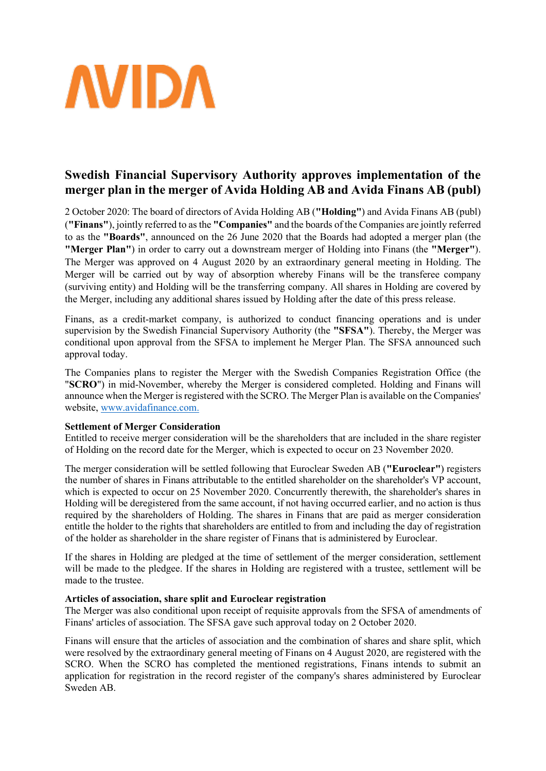

# **Swedish Financial Supervisory Authority approves implementation of the merger plan in the merger of Avida Holding AB and Avida Finans AB (publ)**

2 October 2020: The board of directors of Avida Holding AB (**"Holding"**) and Avida Finans AB (publ) (**"Finans"**), jointly referred to as the **"Companies"** and the boards of the Companies are jointly referred to as the **"Boards"**, announced on the 26 June 2020 that the Boards had adopted a merger plan (the **"Merger Plan"**) in order to carry out a downstream merger of Holding into Finans (the **"Merger"**). The Merger was approved on 4 August 2020 by an extraordinary general meeting in Holding. The Merger will be carried out by way of absorption whereby Finans will be the transferee company (surviving entity) and Holding will be the transferring company. All shares in Holding are covered by the Merger, including any additional shares issued by Holding after the date of this press release.

Finans, as a credit-market company, is authorized to conduct financing operations and is under supervision by the Swedish Financial Supervisory Authority (the **"SFSA"**). Thereby, the Merger was conditional upon approval from the SFSA to implement he Merger Plan. The SFSA announced such approval today.

The Companies plans to register the Merger with the Swedish Companies Registration Office (the "**SCRO**") in mid-November, whereby the Merger is considered completed. Holding and Finans will announce when the Merger is registered with the SCRO. The Merger Plan is available on the Companies' website, [www.avidafinance.com.](http://www.avidafinance.com/)

## **Settlement of Merger Consideration**

Entitled to receive merger consideration will be the shareholders that are included in the share register of Holding on the record date for the Merger, which is expected to occur on 23 November 2020.

The merger consideration will be settled following that Euroclear Sweden AB (**"Euroclear"**) registers the number of shares in Finans attributable to the entitled shareholder on the shareholder's VP account, which is expected to occur on 25 November 2020. Concurrently therewith, the shareholder's shares in Holding will be deregistered from the same account, if not having occurred earlier, and no action is thus required by the shareholders of Holding. The shares in Finans that are paid as merger consideration entitle the holder to the rights that shareholders are entitled to from and including the day of registration of the holder as shareholder in the share register of Finans that is administered by Euroclear.

If the shares in Holding are pledged at the time of settlement of the merger consideration, settlement will be made to the pledgee. If the shares in Holding are registered with a trustee, settlement will be made to the trustee.

## **Articles of association, share split and Euroclear registration**

The Merger was also conditional upon receipt of requisite approvals from the SFSA of amendments of Finans' articles of association. The SFSA gave such approval today on 2 October 2020.

Finans will ensure that the articles of association and the combination of shares and share split, which were resolved by the extraordinary general meeting of Finans on 4 August 2020, are registered with the SCRO. When the SCRO has completed the mentioned registrations, Finans intends to submit an application for registration in the record register of the company's shares administered by Euroclear Sweden AB.